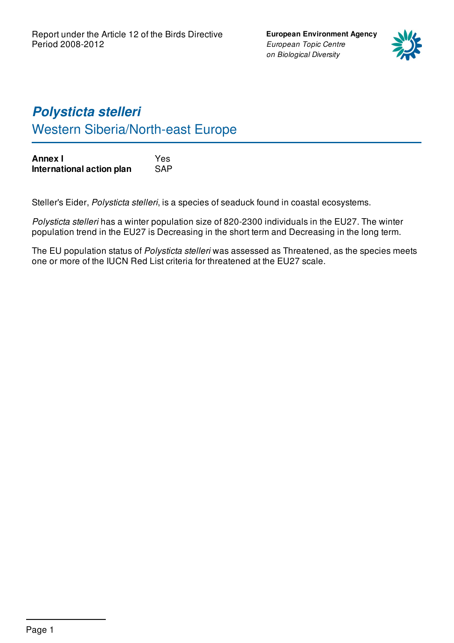**European Environment Agency** *European Topic Centre on Biological Diversity*



# *Polysticta stelleri* Western Siberia/North-east Europe

| Annex I                   | Yes        |
|---------------------------|------------|
| International action plan | <b>SAP</b> |

Steller's Eider, *Polysticta stelleri*, is a species of seaduck found in coastal ecosystems.

*Polysticta stelleri* has a winter population size of 820-2300 individuals in the EU27. The winter population trend in the EU27 is Decreasing in the short term and Decreasing in the long term.

The EU population status of *Polysticta stelleri* was assessed as Threatened, as the species meets one or more of the IUCN Red List criteria for threatened at the EU27 scale.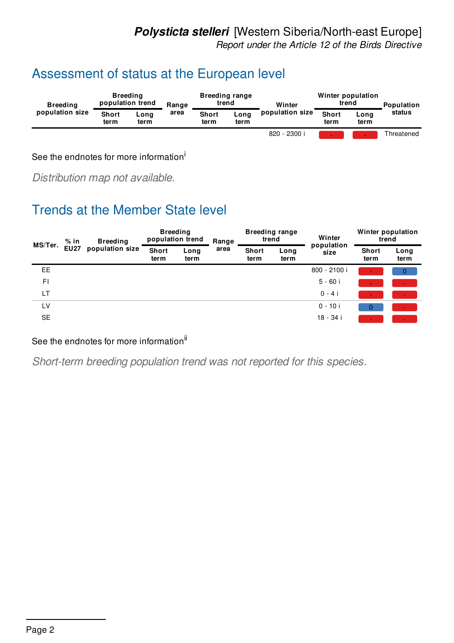### *Polysticta stelleri* [Western Siberia/North-east Europe]

*Report under the Article 12 of the Birds Directive*

## Assessment of status at the European level

| <b>Breeding</b><br>population size | <b>Breeding</b><br>population trend |              | Range | <b>Breeding range</b><br>trend |              | Winter          | Winter population<br>trend |              | Population |
|------------------------------------|-------------------------------------|--------------|-------|--------------------------------|--------------|-----------------|----------------------------|--------------|------------|
|                                    | <b>Short</b><br>term                | Long<br>term | area  | <b>Short</b><br>term           | Long<br>term | population size | <b>Short</b><br>term       | Long<br>term | status     |
|                                    |                                     |              |       |                                |              | 820 - 2300 i    |                            |              | Threatened |

See the endnotes for more information<sup>i</sup>

*Distribution map not available.*

## Trends at the Member State level

| MS/Ter.   | $%$ in      | <b>Breeding</b> | <b>Breeding</b><br>population trend |              | Range | <b>Breeding range</b><br>trend |              | Winter             | Winter population<br>trend |              |
|-----------|-------------|-----------------|-------------------------------------|--------------|-------|--------------------------------|--------------|--------------------|----------------------------|--------------|
|           | <b>EU27</b> | population size | <b>Short</b><br>term                | Long<br>term | area  | <b>Short</b><br>term           | Long<br>term | population<br>size | <b>Short</b><br>term       | Long<br>term |
| EE        |             |                 |                                     |              |       |                                |              | 800 - 2100 i       |                            | $\Omega$     |
| FI        |             |                 |                                     |              |       |                                |              | $5 - 60i$          |                            |              |
| LT        |             |                 |                                     |              |       |                                |              | $0 - 4i$           |                            |              |
| LV        |             |                 |                                     |              |       |                                |              | $0 - 10i$          |                            |              |
| <b>SE</b> |             |                 |                                     |              |       |                                |              | 18 - 34 i          |                            |              |

#### See the endnotes for more information<sup>ii</sup>

*Short-term breeding population trend was not reported for this species.*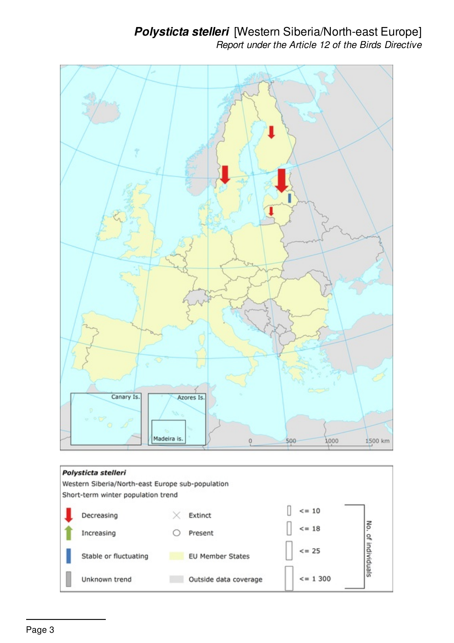### *Polysticta stelleri* [Western Siberia/North-east Europe] *Report under the Article 12 of the Birds Directive*

 $= 1300$ 



Outside data coverage

Unknown trend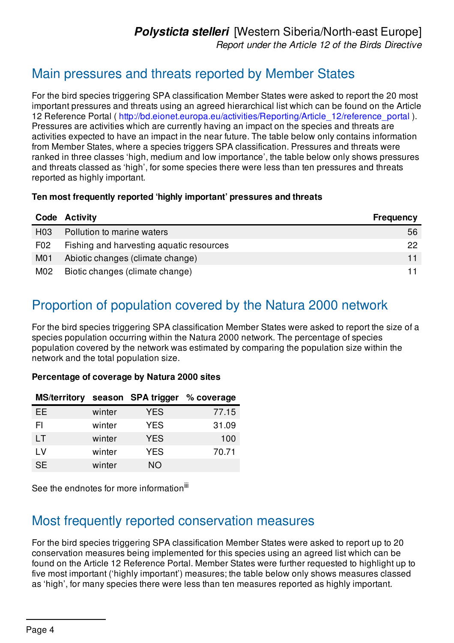### Main pressures and threats reported by Member States

For the bird species triggering SPA classification Member States were asked to report the 20 most important pressures and threats using an agreed hierarchical list which can be found on the Article 12 Reference Portal ( [http://bd.eionet.europa.eu/activities/Reporting/Article\\_12/reference\\_portal](http://bd.eionet.europa.eu/activities/Reporting/Article_12/reference_portal) ). Pressures are activities which are currently having an impact on the species and threats are activities expected to have an impact in the near future. The table below only contains information from Member States, where a species triggers SPA classification. Pressures and threats were ranked in three classes 'high, medium and low importance', the table below only shows pressures and threats classed as 'high', for some species there were less than ten pressures and threats reported as highly important.

#### **Ten most frequently reported 'highly important' pressures and threats**

|                  | <b>Code Activity</b>                     | <b>Frequency</b> |
|------------------|------------------------------------------|------------------|
| H <sub>03</sub>  | Pollution to marine waters               | 56               |
| F <sub>0</sub> 2 | Fishing and harvesting aquatic resources | 22               |
| M <sub>0</sub> 1 | Abiotic changes (climate change)         |                  |
| M02              | Biotic changes (climate change)          |                  |

## Proportion of population covered by the Natura 2000 network

For the bird species triggering SPA classification Member States were asked to report the size of a species population occurring within the Natura 2000 network. The percentage of species population covered by the network was estimated by comparing the population size within the network and the total population size.

#### **Percentage of coverage by Natura 2000 sites**

| <b>MS/territory</b> |        | season SPA trigger | % coverage |
|---------------------|--------|--------------------|------------|
| <b>EE</b>           | winter | <b>YES</b>         | 77.15      |
| FI                  | winter | <b>YES</b>         | 31.09      |
| LT                  | winter | <b>YES</b>         | 100        |
| LV                  | winter | <b>YES</b>         | 70.71      |
| <b>SE</b>           | winter | <b>NO</b>          |            |

See the endnotes for more information<sup>iii</sup>

### Most frequently reported conservation measures

For the bird species triggering SPA classification Member States were asked to report up to 20 conservation measures being implemented for this species using an agreed list which can be found on the Article 12 Reference Portal. Member States were further requested to highlight up to five most important ('highly important') measures; the table below only shows measures classed as 'high', for many species there were less than ten measures reported as highly important.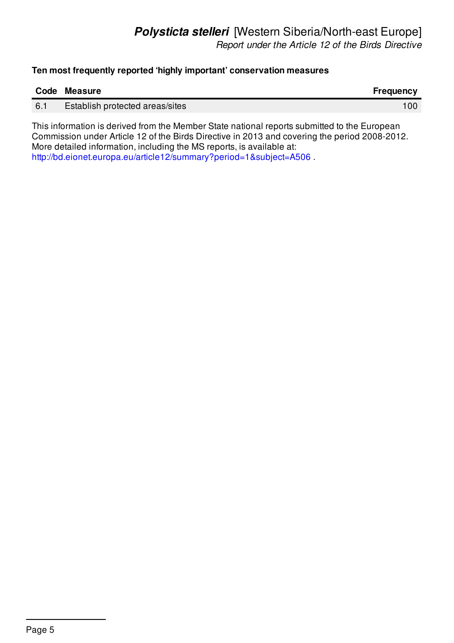#### **Ten most frequently reported 'highly important' conservation measures**

|     | Code Measure                           | Frequency |
|-----|----------------------------------------|-----------|
| 6.1 | <b>Establish protected areas/sites</b> | 100       |
|     |                                        |           |

This information is derived from the Member State national reports submitted to the European Commission under Article 12 of the Birds Directive in 2013 and covering the period 2008-2012. More detailed information, including the MS reports, is available at: <http://bd.eionet.europa.eu/article12/summary?period=1&subject=A506> .